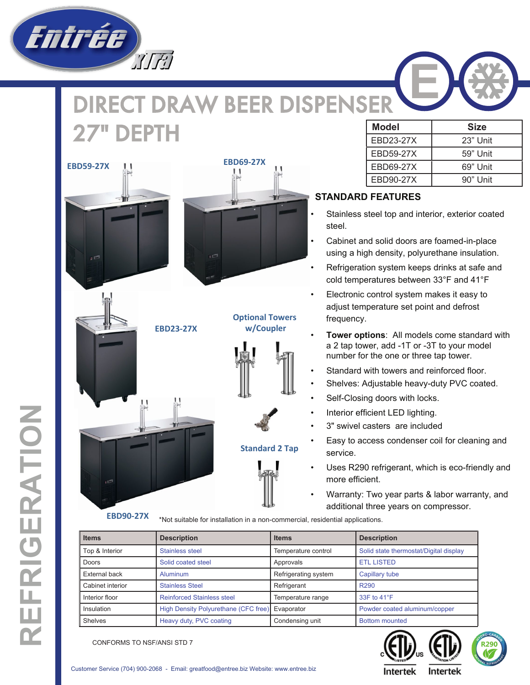

## DIRECT DRAW BEER DISPENSER **27" DEPTH** Size Model Size Size







## **Standard 2 Tap**



EBD23-27X | 23" Unit EBD59-27X | 59" Unit EBD69-27X | 69" Unit EBD90-27X | 90" Unit

## **STANDARD FEATURES**

- Stainless steel top and interior, exterior coated steel.
- Cabinet and solid doors are foamed-in-place using a high density, polyurethane insulation.
- Refrigeration system keeps drinks at safe and cold temperatures between 33°F and 41°F
- Electronic control system makes it easy to adjust temperature set point and defrost frequency.
- **Tower options**: All models come standard with a 2 tap tower, add -1T or -3T to your model number for the one or three tap tower.
- Standard with towers and reinforced floor.
- Shelves: Adjustable heavy-duty PVC coated.
- Self-Closing doors with locks.
- Interior efficient LED lighting.
- 3" swivel casters are included
- Easy to access condenser coil for cleaning and service.
- Uses R290 refrigerant, which is eco-friendly and more efficient.
- Warranty: Two year parts & labor warranty, and additional three years on compressor.

\*Not suitable for installation in a non-commercial, residential applications. **EBD90-27X**

| <b>Items</b>     | <b>Description</b>                   | <b>Items</b>         | <b>Description</b>                     |
|------------------|--------------------------------------|----------------------|----------------------------------------|
| Top & Interior   | Stainless steel                      | Temperature control  | Solid state thermostat/Digital display |
| Doors            | Solid coated steel                   | Approvals            | <b>ETL LISTED</b>                      |
| External back    | Aluminum                             | Refrigerating system | Capillary tube                         |
| Cabinet interior | <b>Stainless Steel</b>               | Refrigerant          | R <sub>290</sub>                       |
| Interior floor   | <b>Reinforced Stainless steel</b>    | Temperature range    | 33F to 41°F                            |
| Insulation       | High Density Polyurethane (CFC free) | Evaporator           | Powder coated aluminum/copper          |
| Shelves          | Heavy duty, PVC coating              | Condensing unit      | <b>Bottom mounted</b>                  |





Customer Service (704) 900-2068 - Email: greatfood@entree.biz Website: www.entree.biz

**Intertek**